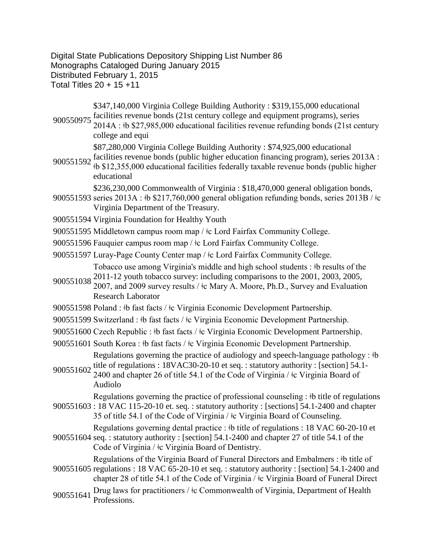Digital State Publications Depository Shipping List Number 86 Monographs Cataloged During January 2015 Distributed February 1, 2015 Total Titles 20 + 15 +11

900550975 facilities revenue bonds (21st century college and equipment programs), series 900550975 2014A  $\cdot$  th \$27.085,000 educational facilities revenue refunding bonds (21st equ \$347,140,000 Virginia College Building Authority : \$319,155,000 educational

2014A : ǂb \$27,985,000 educational facilities revenue refunding bonds (21st century college and equi

\$87,280,000 Virginia College Building Authority : \$74,925,000 educational

900551592 facilities revenue bonds (public higher education financing program), series 2013A :<br>900551592 th \$12.255,000 odvertigal facilities federally taxable revenue hands (public higher ǂb \$12,355,000 educational facilities federally taxable revenue bonds (public higher educational

900551593 series 2013A : ‡b \$217,760,000 general obligation refunding bonds, series 2013B / ‡c \$236,230,000 Commonwealth of Virginia : \$18,470,000 general obligation bonds,

- Virginia Department of the Treasury.
- 900551594 Virginia Foundation for Healthy Youth
- 900551595 Middletown campus room map /  $\pm$ c Lord Fairfax Community College.
- 900551596 Fauquier campus room map /  $\pm$ c Lord Fairfax Community College.
- 900551597 Luray-Page County Center map /  $\pm c$  Lord Fairfax Community College. Tobacco use among Virginia's middle and high school students : ǂb results of the
- 900551038 2011-12 youth tobacco survey: including comparisons to the 2001, 2003, 2005, 900551038 2007 and 2009 survey results (to Mary A. Moore, Ph.D., Survey and Evaluation 2007, and 2009 survey results / ǂc Mary A. Moore, Ph.D., Survey and Evaluation Research Laborator
- 900551598 Poland : ‡b fast facts / ‡c Virginia Economic Development Partnership.
- 900551599 Switzerland :  $\frac{1}{2}$  fast facts /  $\frac{1}{2}$ c Virginia Economic Development Partnership.
- 900551600 Czech Republic : ‡b fast facts /  $\pm$ c Virginia Economic Development Partnership.
- 900551601 South Korea :  $\frac{1}{2}$  fast facts / $\frac{1}{2}$ c Virginia Economic Development Partnership. Regulations governing the practice of audiology and speech-language pathology :  $\dagger b$
- 900551602 title of regulations :  $18\text{VAC}30\text{-}20\text{-}10$  et seq. : statutory authority : [section] 54.1-<br>900551602 2400 and shapter 26 of title 54.1 of the Gode of Virginia (de Virginia Board of 2400 and chapter 26 of title 54.1 of the Code of Virginia / ǂc Virginia Board of Audiolo

900551603 : 18 VAC 115-20-10 et. seq. : statutory authority : [sections] 54.1-2400 and chapter Regulations governing the practice of professional counseling : ǂb title of regulations

35 of title 54.1 of the Code of Virginia / ǂc Virginia Board of Counseling.

Regulations governing dental practice : ǂb title of regulations : 18 VAC 60-20-10 et

900551604 seq. : statutory authority : [section] 54.1-2400 and chapter 27 of title 54.1 of the Code of Virginia / ǂc Virginia Board of Dentistry.

Regulations of the Virginia Board of Funeral Directors and Embalmers : ǂb title of

- 900551605 regulations : 18 VAC 65-20-10 et seq. : statutory authority : [section] 54.1-2400 and chapter 28 of title 54.1 of the Code of Virginia / ǂc Virginia Board of Funeral Direct
- 900551641 Drug laws for practitioners /  $\pm c$  Commonwealth of Virginia, Department of Health Professions.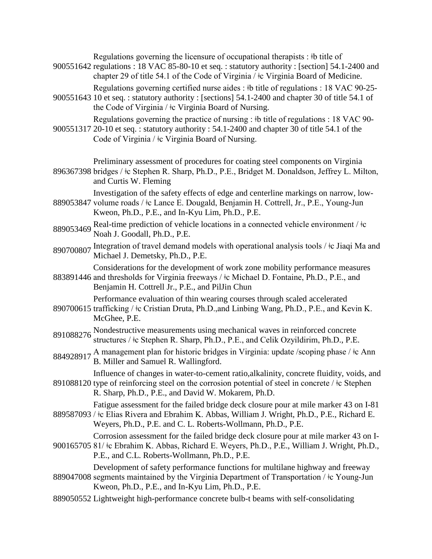Regulations governing the licensure of occupational therapists : ‡b title of

900551642 regulations : 18 VAC 85-80-10 et seq. : statutory authority : [section] 54.1-2400 and chapter 29 of title 54.1 of the Code of Virginia / ǂc Virginia Board of Medicine.

Regulations governing certified nurse aides : ǂb title of regulations : 18 VAC 90-25-

900551643 10 et seq. : statutory authority : [sections] 54.1-2400 and chapter 30 of title 54.1 of the Code of Virginia / ǂc Virginia Board of Nursing.

Regulations governing the practice of nursing : ‡b title of regulations : 18 VAC 90-

- 900551317 20-10 et seq. : statutory authority : 54.1-2400 and chapter 30 of title 54.1 of the Code of Virginia / ǂc Virginia Board of Nursing.
- 896367398 bridges / ǂc Stephen R. Sharp, Ph.D., P.E., Bridget M. Donaldson, Jeffrey L. Milton, Preliminary assessment of procedures for coating steel components on Virginia and Curtis W. Fleming

Investigation of the safety effects of edge and centerline markings on narrow, low-

- 889053847 volume roads / ǂc Lance E. Dougald, Benjamin H. Cottrell, Jr., P.E., Young-Jun Kweon, Ph.D., P.E., and In-Kyu Lim, Ph.D., P.E.
- <sup>889053469</sup> Real-time prediction of vehicle locations in a connected vehicle environment / ǂc Noah J. Goodall, Ph.D., P.E.
- 890700807 Integration of travel demand models with operational analysis tools /  $\pm c$  Jiaqi Ma and Michael J. Demetsky, Ph.D., P.E.

Considerations for the development of work zone mobility performance measures

883891446 and thresholds for Virginia freeways /  $\pm$ c Michael D. Fontaine, Ph.D., P.E., and Benjamin H. Cottrell Jr., P.E., and PilJin Chun

Performance evaluation of thin wearing courses through scaled accelerated

- 890700615 trafficking / ǂc Cristian Druta, Ph.D.,and Linbing Wang, Ph.D., P.E., and Kevin K. McGhee, P.E.
- 891088276 Nondestructive measurements using mechanical waves in reinforced concrete structures /  $\pm c$  Stephen R. Sharp, Ph.D., P.E., and Celik Ozyildirim, Ph.D., P.E.
- 884928917 A management plan for historic bridges in Virginia: update /scoping phase / ‡c Ann B. Miller and Samuel R. Wallingford.

891088120 type of reinforcing steel on the corrosion potential of steel in concrete /  $\pm c$  Stephen Influence of changes in water-to-cement ratio,alkalinity, concrete fluidity, voids, and

R. Sharp, Ph.D., P.E., and David W. Mokarem, Ph.D.

889587093 / ǂc Elias Rivera and Ebrahim K. Abbas, William J. Wright, Ph.D., P.E., Richard E. Fatigue assessment for the failed bridge deck closure pour at mile marker 43 on I-81

Weyers, Ph.D., P.E. and C. L. Roberts-Wollmann, Ph.D., P.E.

900165705 81/ ǂc Ebrahim K. Abbas, Richard E. Weyers, Ph.D., P.E., William J. Wright, Ph.D., Corrosion assessment for the failed bridge deck closure pour at mile marker 43 on I-

P.E., and C.L. Roberts-Wollmann, Ph.D., P.E.

889047008 segments maintained by the Virginia Department of Transportation / ǂc Young-Jun Development of safety performance functions for multilane highway and freeway Kweon, Ph.D., P.E., and In-Kyu Lim, Ph.D., P.E.

889050552 Lightweight high-performance concrete bulb-t beams with self-consolidating